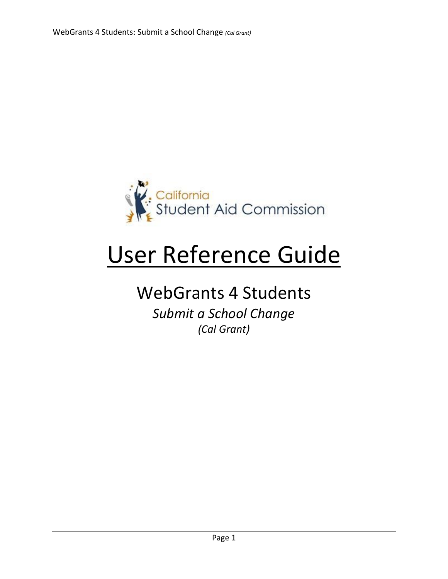

# User Reference Guide

## WebGrants 4 Students

*Submit a School Change (Cal Grant)*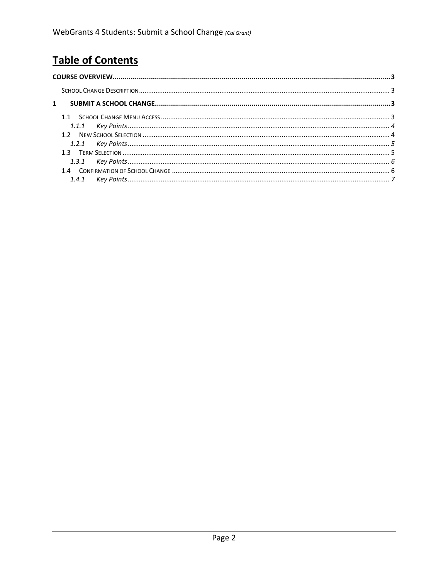### **Table of Contents**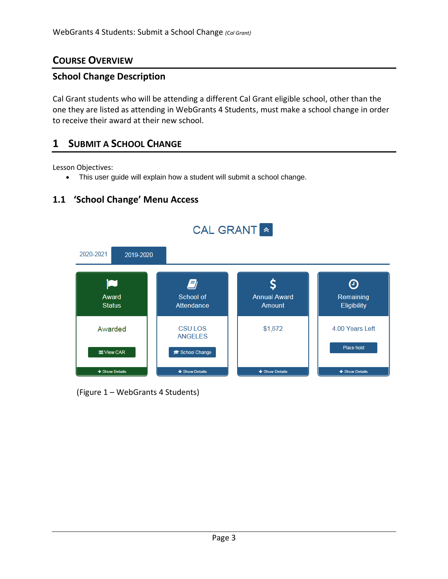#### <span id="page-2-0"></span>**COURSE OVERVIEW**

#### <span id="page-2-1"></span>**School Change Description**

Cal Grant students who will be attending a different Cal Grant eligible school, other than the one they are listed as attending in WebGrants 4 Students, must make a school change in order to receive their award at their new school.

#### **1 SUBMIT A SCHOOL CHANGE**

Lesson Objectives:

• This user guide will explain how a student will submit a school change.



#### **1.1 'School Change' Menu Access**

(Figure 1 – WebGrants 4 Students)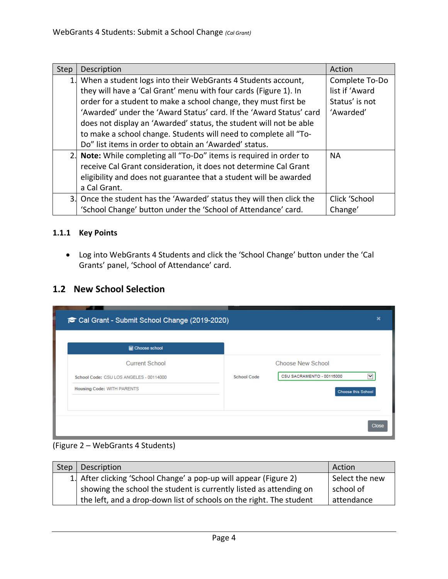| Step | Description                                                           | Action         |
|------|-----------------------------------------------------------------------|----------------|
|      | 1. When a student logs into their WebGrants 4 Students account,       | Complete To-Do |
|      | they will have a 'Cal Grant' menu with four cards (Figure 1). In      | list if 'Award |
|      | order for a student to make a school change, they must first be       | Status' is not |
|      | 'Awarded' under the 'Award Status' card. If the 'Award Status' card   | 'Awarded'      |
|      | does not display an 'Awarded' status, the student will not be able    |                |
|      | to make a school change. Students will need to complete all "To-      |                |
|      | Do" list items in order to obtain an 'Awarded' status.                |                |
|      | 2. Note: While completing all "To-Do" items is required in order to   | <b>NA</b>      |
|      | receive Cal Grant consideration, it does not determine Cal Grant      |                |
|      | eligibility and does not guarantee that a student will be awarded     |                |
|      | a Cal Grant.                                                          |                |
|      | 3. Once the student has the 'Awarded' status they will then click the | Click 'School  |
|      | 'School Change' button under the 'School of Attendance' card.         | Change'        |

#### <span id="page-3-0"></span>**1.1.1 Key Points**

• Log into WebGrants 4 Students and click the 'School Change' button under the 'Cal Grants' panel, 'School of Attendance' card.

#### **1.2 New School Selection**

| <b>图 Choose school</b>                  |                    |                           |
|-----------------------------------------|--------------------|---------------------------|
| <b>Current School</b>                   |                    | <b>Choose New School</b>  |
| School Code: CSU LOS ANGELES - 00114000 | <b>School Code</b> | CSU SACRAMENTO - 00115000 |
| <b>Housing Code: WITH PARENTS</b>       |                    | <b>Choose this School</b> |
|                                         |                    |                           |

#### (Figure 2 – WebGrants 4 Students)

| Step | Description                                                         | Action         |
|------|---------------------------------------------------------------------|----------------|
|      | 1. After clicking 'School Change' a pop-up will appear (Figure 2)   | Select the new |
|      | showing the school the student is currently listed as attending on  | school of      |
|      | the left, and a drop-down list of schools on the right. The student | attendance     |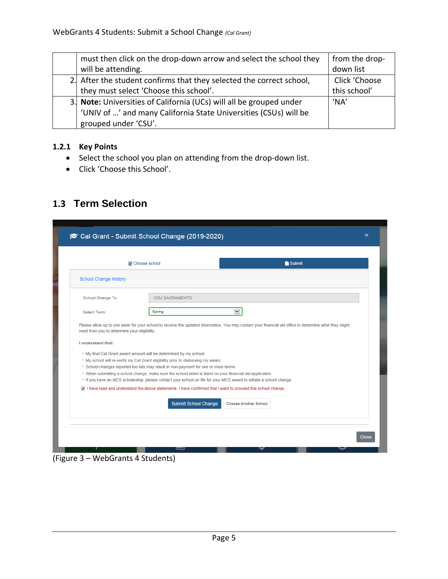| must then click on the drop-down arrow and select the school they    | from the drop- |
|----------------------------------------------------------------------|----------------|
| will be attending.                                                   | down list      |
| 2. After the student confirms that they selected the correct school, | Click 'Choose  |
| they must select 'Choose this school'.                               | this school'   |
| 3. Note: Universities of California (UCs) will all be grouped under  | 'NA'           |
| 'UNIV of ' and many California State Universities (CSUs) will be     |                |
| grouped under 'CSU'.                                                 |                |

#### <span id="page-4-0"></span>**1.2.1 Key Points**

- Select the school you plan on attending from the drop-down list.
- Click 'Choose this School'.

#### **1.3 Term Selection**

|                                                                    | <b>■ Choose school</b>                                                                                                                                                                                                                                                                                                                                                                                                                                                                                                                                          | Submit                                                                                                                                                 |
|--------------------------------------------------------------------|-----------------------------------------------------------------------------------------------------------------------------------------------------------------------------------------------------------------------------------------------------------------------------------------------------------------------------------------------------------------------------------------------------------------------------------------------------------------------------------------------------------------------------------------------------------------|--------------------------------------------------------------------------------------------------------------------------------------------------------|
| <b>School Change History</b>                                       |                                                                                                                                                                                                                                                                                                                                                                                                                                                                                                                                                                 |                                                                                                                                                        |
| School Change To:                                                  | <b>CSU SACRAMENTO</b>                                                                                                                                                                                                                                                                                                                                                                                                                                                                                                                                           |                                                                                                                                                        |
| Select Term:                                                       | Spring                                                                                                                                                                                                                                                                                                                                                                                                                                                                                                                                                          | M                                                                                                                                                      |
| need from you to determine your eligibility.<br>I understand that: | • My final Cal Grant award amount will be determined by my school.                                                                                                                                                                                                                                                                                                                                                                                                                                                                                              | Please allow up to one week for your school to receive the updated information. You may contact your financial aid office to determine what they might |
|                                                                    | . My school will re-verify my Cal Grant eligibility prior to disbursing my award.<br>. School changes reported too late may result in non-payment for one or more terms.<br>. When submitting a school change, make sure the school listed is listed on your financial aid application.<br>. If you have an MCS scholarship, please contact your school on file for your MCS award to initiate a school change<br>7 I have read and understand the above statements. I have confirmed that I want to proceed this school change.<br><b>Submit School Change</b> | Choose Another School                                                                                                                                  |

#### (Figure 3 – WebGrants 4 Students)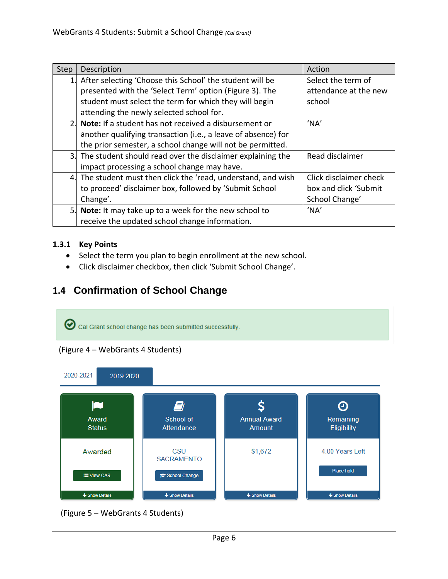| Step | Description                                                    | Action                 |
|------|----------------------------------------------------------------|------------------------|
| 1.   | After selecting 'Choose this School' the student will be       | Select the term of     |
|      | presented with the 'Select Term' option (Figure 3). The        | attendance at the new  |
|      | student must select the term for which they will begin         | school                 |
|      | attending the newly selected school for.                       |                        |
|      | 2. Note: If a student has not received a disbursement or       | 'NA'                   |
|      | another qualifying transaction (i.e., a leave of absence) for  |                        |
|      | the prior semester, a school change will not be permitted.     |                        |
|      | 3. The student should read over the disclaimer explaining the  | Read disclaimer        |
|      | impact processing a school change may have.                    |                        |
|      | 4. The student must then click the 'read, understand, and wish | Click disclaimer check |
|      | to proceed' disclaimer box, followed by 'Submit School         | box and click 'Submit  |
|      | Change'.                                                       | School Change'         |
|      | 5. Note: It may take up to a week for the new school to        | 'NA'                   |
|      | receive the updated school change information.                 |                        |

#### <span id="page-5-0"></span>**1.3.1 Key Points**

- Select the term you plan to begin enrollment at the new school.
- Click disclaimer checkbox, then click 'Submit School Change'.

#### **1.4 Confirmation of School Change**



(Figure 5 – WebGrants 4 Students)